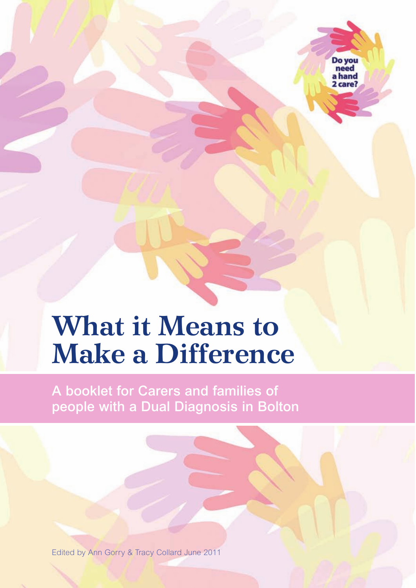Do vou a hand  $2 \cos \theta$ 

# **What it Means to Make a Difference**

**A booklet for Carers and families of people with a Dual Diagnosis in Bolton**

Edited by Ann Gorry & Tracy Collard June 2011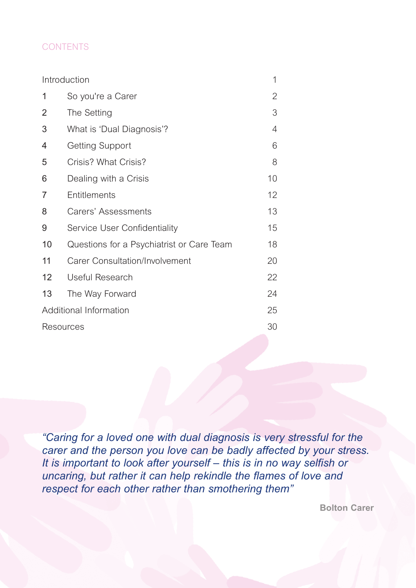#### **CONTENTS**

| Introduction           |                                           | 1  |
|------------------------|-------------------------------------------|----|
| 1                      | So you're a Carer                         | 2  |
| 2                      | The Setting                               | 3  |
| 3                      | What is 'Dual Diagnosis'?                 | 4  |
| 4                      | <b>Getting Support</b>                    | 6  |
| 5                      | Crisis? What Crisis?                      | 8  |
| 6                      | Dealing with a Crisis                     | 10 |
| 7                      | Entitlements                              | 12 |
| 8                      | Carers' Assessments                       | 13 |
| 9                      | Service User Confidentiality              | 15 |
| 10                     | Questions for a Psychiatrist or Care Team | 18 |
| 11                     | Carer Consultation/Involvement            | 20 |
| 12                     | Useful Research                           | 22 |
| 13                     | The Way Forward                           | 24 |
| Additional Information |                                           |    |
| Resources              |                                           |    |

*"Caring for a loved one with dual diagnosis is very stressful for the carer and the person you love can be badly affected by your stress. It is important to look after yourself – this is in no way selfish or uncaring, but rather it can help rekindle the flames of love and respect for each other rather than smothering them"* 

**Bolton Carer**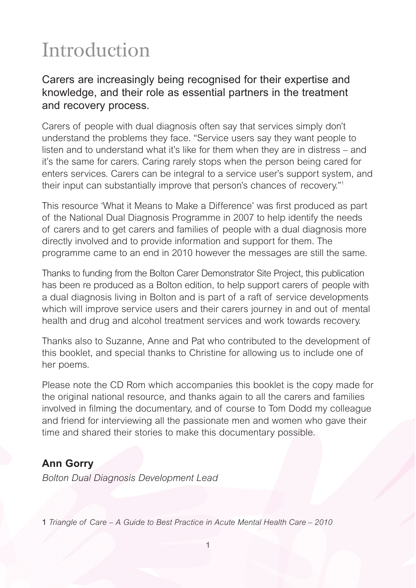# **Introduction**

### Carers are increasingly being recognised for their expertise and knowledge, and their role as essential partners in the treatment and recovery process.

Carers of people with dual diagnosis often say that services simply don't understand the problems they face. "Service users say they want people to listen and to understand what it's like for them when they are in distress – and it's the same for carers. Caring rarely stops when the person being cared for enters services. Carers can be integral to a service user's support system, and their input can substantially improve that person's chances of recovery."1

This resource 'What it Means to Make a Difference' was first produced as part of the National Dual Diagnosis Programme in 2007 to help identify the needs of carers and to get carers and families of people with a dual diagnosis more directly involved and to provide information and support for them. The programme came to an end in 2010 however the messages are still the same.

Thanks to funding from the Bolton Carer Demonstrator Site Project, this publication has been re produced as a Bolton edition, to help support carers of people with a dual diagnosis living in Bolton and is part of a raft of service developments which will improve service users and their carers journey in and out of mental health and drug and alcohol treatment services and work towards recovery.

Thanks also to Suzanne, Anne and Pat who contributed to the development of this booklet, and special thanks to Christine for allowing us to include one of her poems.

Please note the CD Rom which accompanies this booklet is the copy made for the original national resource, and thanks again to all the carers and families involved in filming the documentary, and of course to Tom Dodd my colleague and friend for interviewing all the passionate men and women who gave their time and shared their stories to make this documentary possible.

### **Ann Gorry**

*Bolton Dual Diagnosis Development Lead*

1 *Triangle of Care – A Guide to Best Practice in Acute Mental Health Care – 2010*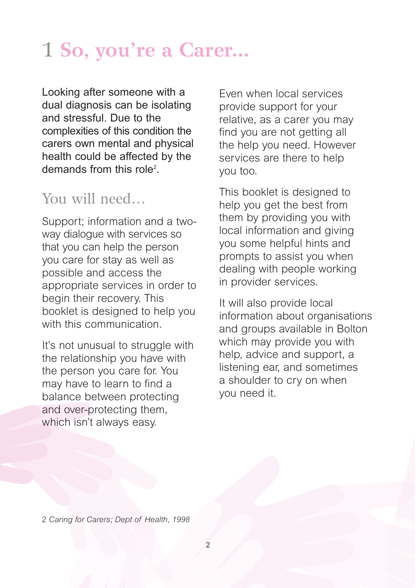# 1 **So, you're a Carer...**

Looking after someone with a dual diagnosis can be isolating and stressful. Due to the complexities of this condition the carers own mental and physical health could be affected by the demands from this role<sup>2</sup>.

# You will need...

Support; information and a twoway dialogue with services so that you can help the person you care for stay as well as possible and access the appropriate services in order to begin their recovery. This booklet is designed to help you with this communication.

It's not unusual to struggle with the relationship you have with the person you care for. You may have to learn to find a balance between protecting and over-protecting them, which isn't always easy.

Even when local services provide support for your relative, as a carer you may find you are not getting all the help you need. However services are there to help you too.

This booklet is designed to help you get the best from them by providing you with local information and giving you some helpful hints and prompts to assist you when dealing with people working in provider services.

It will also provide local information about organisations and groups available in Bolton which may provide you with help, advice and support, a listening ear, and sometimes a shoulder to cry on when you need it.

2 *Caring for Carers; Dept of Health, 1998*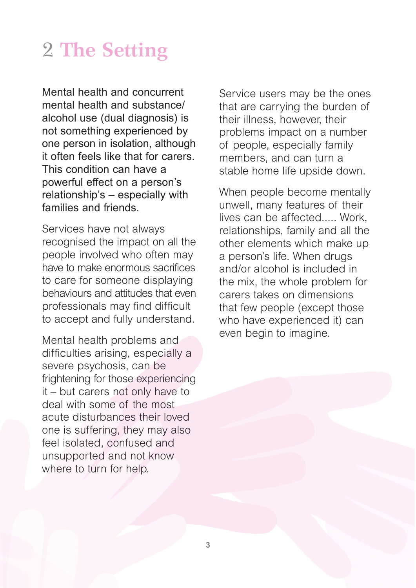# 2 **The Setting**

Mental health and concurrent mental health and substance/ alcohol use (dual diagnosis) is not something experienced by one person in isolation, although it often feels like that for carers. This condition can have a powerful effect on a person's relationship's – especially with families and friends.

Services have not always recognised the impact on all the people involved who often may have to make enormous sacrifices to care for someone displaying behaviours and attitudes that even professionals may find difficult to accept and fully understand.

Mental health problems and difficulties arising, especially a severe psychosis, can be frightening for those experiencing it – but carers not only have to deal with some of the most acute disturbances their loved one is suffering, they may also feel isolated, confused and unsupported and not know where to turn for help.

Service users may be the ones that are carrying the burden of their illness, however, their problems impact on a number of people, especially family members, and can turn a stable home life upside down.

When people become mentally unwell, many features of their lives can be affected..... Work, relationships, family and all the other elements which make up a person's life. When drugs and/or alcohol is included in the mix, the whole problem for carers takes on dimensions that few people (except those who have experienced it) can even begin to imagine.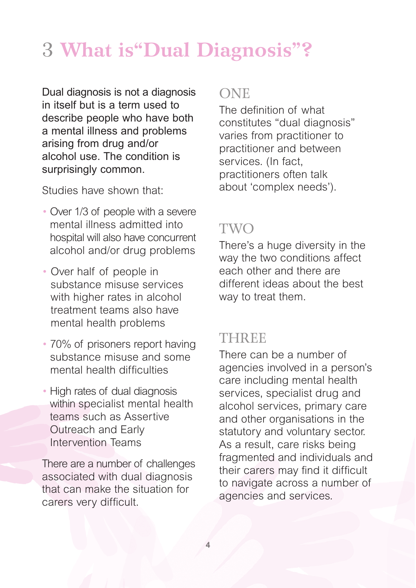# 3 **What is"Dual Diagnosis"?**

Dual diagnosis is not a diagnosis in itself but is a term used to describe people who have both a mental illness and problems arising from drug and/or alcohol use. The condition is surprisingly common.

Studies have shown that:

- Over 1/3 of people with a severe mental illness admitted into hospital will also have concurrent alcohol and/or drug problems
- Over half of people in substance misuse services with higher rates in alcohol treatment teams also have mental health problems
- 70% of prisoners report having substance misuse and some mental health difficulties
- High rates of dual diagnosis within specialist mental health teams such as Assertive Outreach and Early Intervention Teams

There are a number of challenges associated with dual diagnosis that can make the situation for carers very difficult.

# **ONE**

The definition of what constitutes "dual diagnosis" varies from practitioner to practitioner and between services. (In fact, practitioners often talk about 'complex needs').

# TWO

There's a huge diversity in the way the two conditions affect each other and there are different ideas about the best way to treat them.

# **THREE**

There can be a number of agencies involved in a person's care including mental health services, specialist drug and alcohol services, primary care and other organisations in the statutory and voluntary sector. As a result, care risks being fragmented and individuals and their carers may find it difficult to navigate across a number of agencies and services.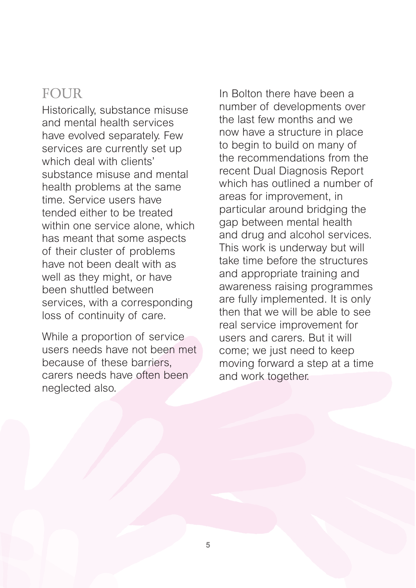# FOUR

Historically, substance misuse and mental health services have evolved separately. Few services are currently set up which deal with clients' substance misuse and mental health problems at the same time. Service users have tended either to be treated within one service alone, which has meant that some aspects of their cluster of problems have not been dealt with as well as they might, or have been shuttled between services, with a corresponding loss of continuity of care.

While a proportion of service users needs have not been met because of these barriers carers needs have often been neglected also.

In Bolton there have been a number of developments over the last few months and we now have a structure in place to begin to build on many of the recommendations from the recent Dual Diagnosis Report which has outlined a number of areas for improvement, in particular around bridging the gap between mental health and drug and alcohol services. This work is underway but will take time before the structures and appropriate training and awareness raising programmes are fully implemented. It is only then that we will be able to see real service improvement for users and carers. But it will come; we just need to keep moving forward a step at a time and work together.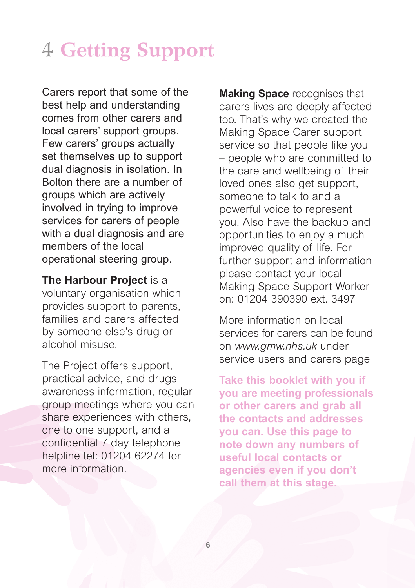# 4 **Getting Support**

Carers report that some of the best help and understanding comes from other carers and local carers' support groups. Few carers' groups actually set themselves up to support dual diagnosis in isolation. In Bolton there are a number of groups which are actively involved in trying to improve services for carers of people with a dual diagnosis and are members of the local operational steering group.

**The Harbour Project** is a voluntary organisation which provides support to parents, families and carers affected by someone else's drug or alcohol misuse.

The Project offers support, practical advice, and drugs awareness information, regular group meetings where you can share experiences with others, one to one support, and a confidential 7 day telephone helpline tel: 01204 62274 for more information.

**Making Space** recognises that carers lives are deeply affected too. That's why we created the Making Space Carer support service so that people like you – people who are committed to the care and wellbeing of their loved ones also get support, someone to talk to and a powerful voice to represent you. Also have the backup and opportunities to enjoy a much improved quality of life. For further support and information please contact your local Making Space Support Worker on: 01204 390390 ext. 3497

More information on local services for carers can be found on *www.gmw.nhs.uk* under service users and carers page

**Take this booklet with you if you are meeting professionals or other carers and grab all the contacts and addresses you can. Use this page to note down any numbers of useful local contacts or agencies even if you don't call them at this stage.**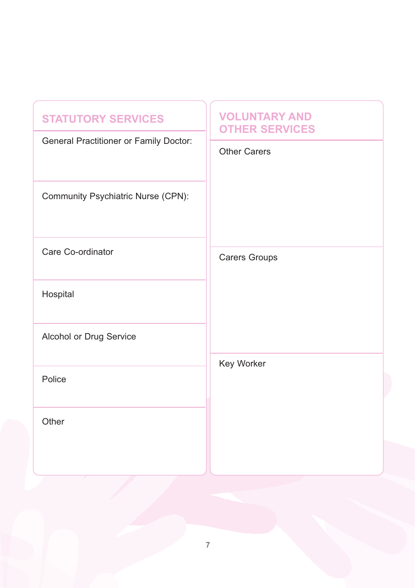| <b>STATUTORY SERVICES</b><br>General Practitioner or Family Doctor:<br>Community Psychiatric Nurse (CPN): | <b>VOLUNTARY AND</b><br><b>OTHER SERVICES</b><br><b>Other Carers</b> |  |  |
|-----------------------------------------------------------------------------------------------------------|----------------------------------------------------------------------|--|--|
| Care Co-ordinator<br>Hospital                                                                             | <b>Carers Groups</b><br>Key Worker                                   |  |  |
| Alcohol or Drug Service                                                                                   |                                                                      |  |  |
| Police                                                                                                    |                                                                      |  |  |
| Other                                                                                                     |                                                                      |  |  |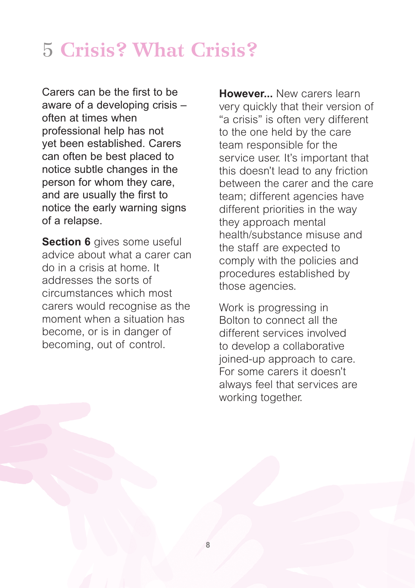# 5 **Crisis? What Crisis?**

Carers can be the first to be aware of a developing crisis – often at times when professional help has not yet been established. Carers can often be best placed to notice subtle changes in the person for whom they care, and are usually the first to notice the early warning signs of a relapse.

**Section 6** gives some useful advice about what a carer can do in a crisis at home. It addresses the sorts of circumstances which most carers would recognise as the moment when a situation has become, or is in danger of becoming, out of control.

**However...** New carers learn very quickly that their version of "a crisis" is often very different to the one held by the care team responsible for the service user. It's important that this doesn't lead to any friction between the carer and the care team; different agencies have different priorities in the way they approach mental health/substance misuse and the staff are expected to comply with the policies and procedures established by those agencies.

Work is progressing in Bolton to connect all the different services involved to develop a collaborative joined-up approach to care. For some carers it doesn't always feel that services are working together.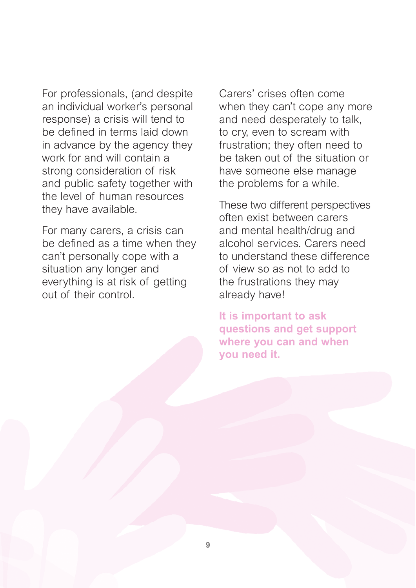For professionals, (and despite an individual worker's personal response) a crisis will tend to be defined in terms laid down in advance by the agency they work for and will contain a strong consideration of risk and public safety together with the level of human resources they have available.

For many carers, a crisis can be defined as a time when they can't personally cope with a situation any longer and everything is at risk of getting out of their control.

Carers' crises often come when they can't cope any more and need desperately to talk, to cry, even to scream with frustration; they often need to be taken out of the situation or have someone else manage the problems for a while.

These two different perspectives often exist between carers and mental health/drug and alcohol services. Carers need to understand these difference of view so as not to add to the frustrations they may already have!

**It is important to ask questions and get support where you can and when you need it.**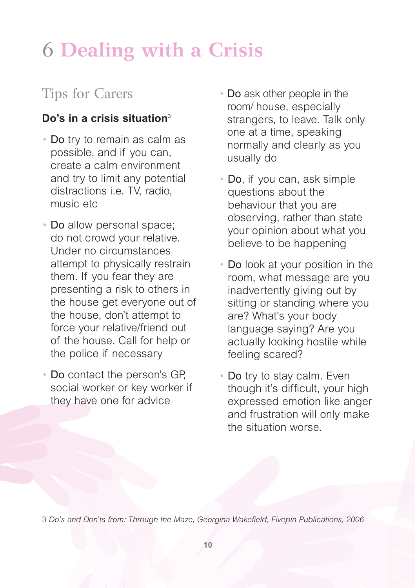# 6 **Dealing with a Crisis**

# Tips for Carers

# **Do's in a crisis situation**<sup>3</sup>

- Do try to remain as calm as possible, and if you can, create a calm environment and try to limit any potential distractions i.e. TV, radio, music etc
- Do allow personal space; do not crowd your relative. Under no circumstances attempt to physically restrain them. If you fear they are presenting a risk to others in the house get everyone out of the house, don't attempt to force your relative/friend out of the house. Call for help or the police if necessary
- Do contact the person's GP, social worker or key worker if they have one for advice
- Do ask other people in the room/ house, especially strangers, to leave. Talk only one at a time, speaking normally and clearly as you usually do
- Do, if you can, ask simple questions about the behaviour that you are observing, rather than state your opinion about what you believe to be happening
- Do look at your position in the room, what message are you inadvertently giving out by sitting or standing where you are? What's your body language saying? Are you actually looking hostile while feeling scared?
- Do try to stay calm. Even though it's difficult, your high expressed emotion like anger and frustration will only make the situation worse.

3 *Do's and Don'ts from: Through the Maze, Georgina Wakefield, Fivepin Publications, 2006*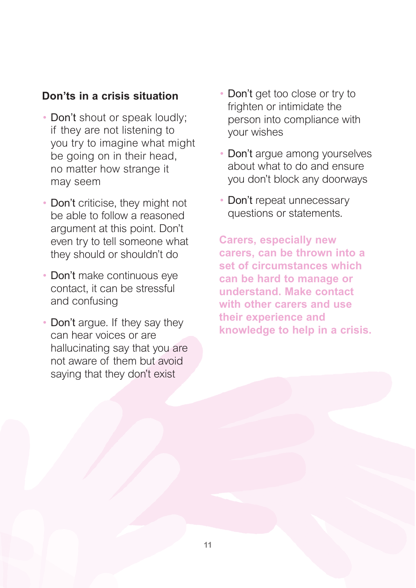## **Don'ts in a crisis situation**

- Don't shout or speak loudly; if they are not listening to you try to imagine what might be going on in their head, no matter how strange it may seem
- Don't criticise, they might not be able to follow a reasoned argument at this point. Don't even try to tell someone what they should or shouldn't do
- Don't make continuous eye contact, it can be stressful and confusing
- Don't arque. If they say they can hear voices or are hallucinating say that you are not aware of them but avoid saying that they don't exist
- Don't get too close or try to frighten or intimidate the person into compliance with your wishes
- Don't argue among yourselves about what to do and ensure you don't block any doorways
- Don't repeat unnecessary questions or statements.

**Carers, especially new carers, can be thrown into a set of circumstances which can be hard to manage or understand. Make contact with other carers and use their experience and knowledge to help in a crisis.**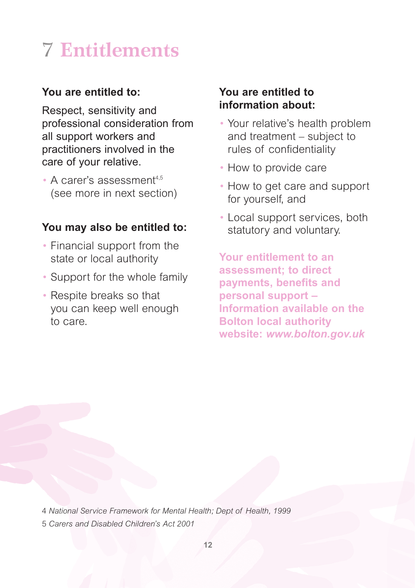# 7 **Entitlements**

## **You are entitled to:**

Respect, sensitivity and professional consideration from all support workers and practitioners involved in the care of your relative.

 $\bullet$  A carer's assessment<sup>4,5</sup> (see more in next section)

## **You may also be entitled to:**

- Financial support from the state or local authority
- Support for the whole family
- Respite breaks so that you can keep well enough to care.

## **You are entitled to information about:**

- Your relative's health problem and treatment – subject to rules of confidentiality
- How to provide care
- How to get care and support for yourself, and
- Local support services, both statutory and voluntary.

**Your entitlement to an assessment; to direct payments, benefits and personal support – Information available on the Bolton local authority website:** *www.bolton.gov.uk*

4 *National Service Framework for Mental Health; Dept of Health, 1999* 5 *Carers and Disabled Children's Act 2001*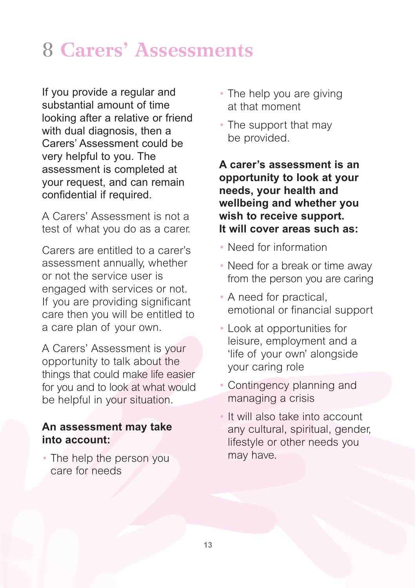# 8 **Carers' Assessments**

If you provide a regular and substantial amount of time looking after a relative or friend with dual diagnosis, then a Carers' Assessment could be very helpful to you. The assessment is completed at your request, and can remain confidential if required.

A Carers' Assessment is not a test of what you do as a carer.

Carers are entitled to a carer's assessment annually, whether or not the service user is engaged with services or not. If you are providing significant care then you will be entitled to a care plan of your own.

A Carers' Assessment is your opportunity to talk about the things that could make life easier for you and to look at what would be helpful in your situation.

### **An assessment may take into account:**

• The help the person you care for needs

- The help you are giving at that moment
- The support that may be provided.

**A carer's assessment is an opportunity to look at your needs, your health and wellbeing and whether you wish to receive support. It will cover areas such as:**

- Need for information
- Need for a break or time away from the person you are caring
- A need for practical, emotional or financial support
- Look at opportunities for leisure, employment and a 'life of your own' alongside your caring role
- Contingency planning and managing a crisis
- It will also take into account any cultural, spiritual, gender, lifestyle or other needs you may have.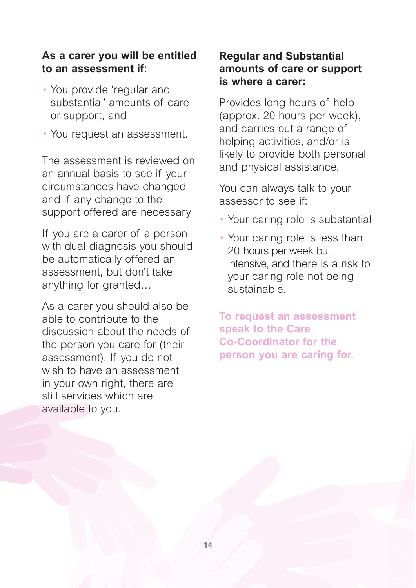### **As a carer you will be entitled to an assessment if:**

- You provide 'regular and substantial' amounts of care or support, and
- You request an assessment.

The assessment is reviewed on an annual basis to see if your circumstances have changed and if any change to the support offered are necessary

If you are a carer of a person with dual diagnosis you should be automatically offered an assessment, but don't take anything for granted…

As a carer you should also be able to contribute to the discussion about the needs of the person you care for (their assessment). If you do not wish to have an assessment in your own right, there are still services which are available to you.

### **Regular and Substantial amounts of care or support is where a carer:**

Provides long hours of help (approx. 20 hours per week), and carries out a range of helping activities, and/or is likely to provide both personal and physical assistance.

You can always talk to your assessor to see if:

- Your caring role is substantial
- Your caring role is less than 20 hours per week but intensive, and there is a risk to your caring role not being sustainable.

**To request an assessment speak to the Care Co-Coordinator for the person you are caring for.**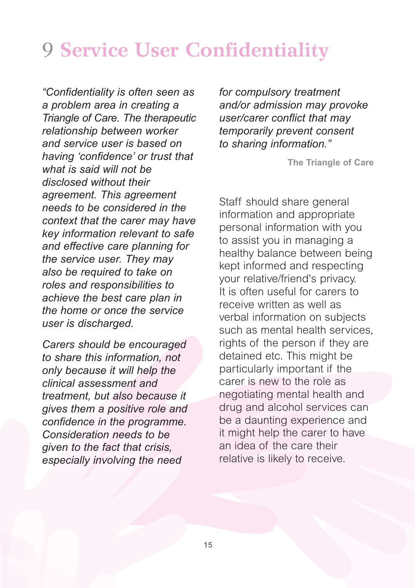# 9 **Service User Confidentiality**

*"Confidentiality is often seen as a problem area in creating a Triangle of Care. The therapeutic relationship between worker and service user is based on having 'confidence' or trust that what is said will not be disclosed without their agreement. This agreement needs to be considered in the context that the carer may have key information relevant to safe and effective care planning for the service user. They may also be required to take on roles and responsibilities to achieve the best care plan in the home or once the service user is discharged.* 

*Carers should be encouraged to share this information, not only because it will help the clinical assessment and treatment, but also because it gives them a positive role and confidence in the programme. Consideration needs to be given to the fact that crisis, especially involving the need*

*for compulsory treatment and/or admission may provoke user/carer conflict that may temporarily prevent consent to sharing information."* 

**The Triangle of Care**

Staff should share general information and appropriate personal information with you to assist you in managing a healthy balance between being kept informed and respecting your relative/friend's privacy. It is often useful for carers to receive written as well as verbal information on subjects such as mental health services, rights of the person if they are detained etc. This might be particularly important if the carer is new to the role as negotiating mental health and drug and alcohol services can be a daunting experience and it might help the carer to have an idea of the care their relative is likely to receive.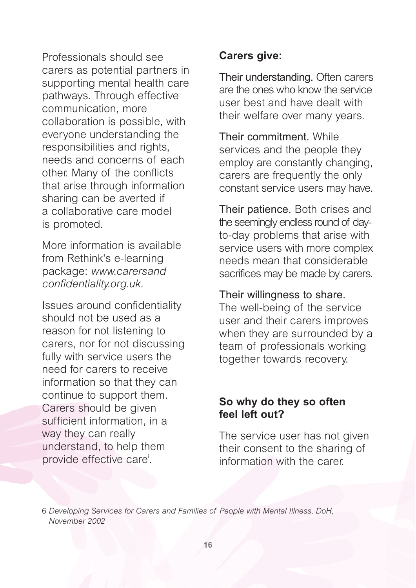Professionals should see carers as potential partners in supporting mental health care pathways. Through effective communication, more collaboration is possible, with everyone understanding the responsibilities and rights, needs and concerns of each other. Many of the conflicts that arise through information sharing can be averted if a collaborative care model is promoted.

More information is available from Rethink's e-learning package: *www.carersand confidentiality.org.uk*.

Issues around confidentiality should not be used as a reason for not listening to carers, nor for not discussing fully with service users the need for carers to receive information so that they can continue to support them. Carers should be given sufficient information, in a way they can really understand, to help them provide effective care<sup>i</sup>.

## **Carers give:**

Their understanding. Often carers are the ones who know the service user best and have dealt with their welfare over many years.

Their commitment. While services and the people they employ are constantly changing, carers are frequently the only constant service users may have.

Their patience. Both crises and the seemingly endless round of dayto-day problems that arise with service users with more complex needs mean that considerable sacrifices may be made by carers.

### Their willingness to share.

The well-being of the service user and their carers improves when they are surrounded by a team of professionals working together towards recovery.

## **So why do they so often feel left out?**

The service user has not given their consent to the sharing of information with the carer.

6 *Developing Services for Carers and Families of People with Mental Illness, DoH, November 2002*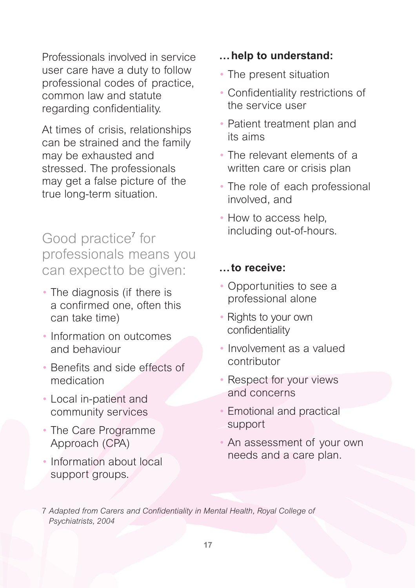Professionals involved in service user care have a duty to follow professional codes of practice, common law and statute regarding confidentiality.

At times of crisis, relationships can be strained and the family may be exhausted and stressed. The professionals may get a false picture of the true long-term situation.

Good practice<sup>7</sup> for professionals means you can expect to be given:

- The diagnosis (if there is a confirmed one, often this can take time)
- Information on outcomes and behaviour
- Benefits and side effects of medication
- Local in-patient and community services
- The Care Programme Approach (CPA)
- Information about local support groups.

## **…help to understand:**

- The present situation
- Confidentiality restrictions of the service user
- Patient treatment plan and its aims
- The relevant elements of a written care or crisis plan
- The role of each professional involved, and
- How to access help, including out-of-hours.

### **…to receive:**

- Opportunities to see a professional alone
- Rights to your own confidentiality
- Involvement as a valued contributor
- Respect for your views and concerns
- Emotional and practical support
- An assessment of your own needs and a care plan.

7 *Adapted from Carers and Confidentiality in Mental Health, Royal College of Psychiatrists, 2004*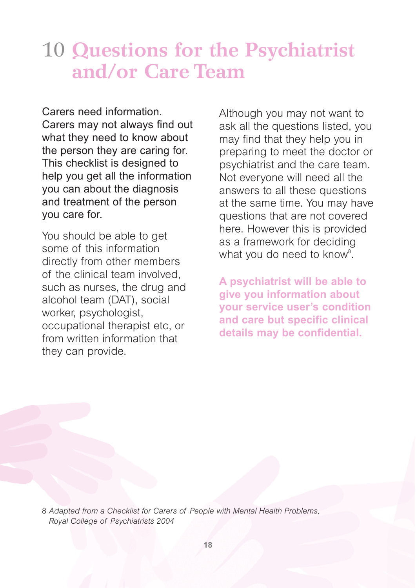# 10 **Questions for the Psychiatrist and/or Care Team**

Carers need information. Carers may not always find out what they need to know about the person they are caring for. This checklist is designed to help you get all the information you can about the diagnosis and treatment of the person you care for.

You should be able to get some of this information directly from other members of the clinical team involved, such as nurses, the drug and alcohol team (DAT), social worker, psychologist, occupational therapist etc, or from written information that they can provide.

Although you may not want to ask all the questions listed, you may find that they help you in preparing to meet the doctor or psychiatrist and the care team. Not everyone will need all the answers to all these questions at the same time. You may have questions that are not covered here. However this is provided as a framework for deciding what you do need to know<sup>8</sup>.

**A psychiatrist will be able to give you information about your service user's condition and care but specific clinical details may be confidential.**

8 *Adapted from a Checklist for Carers of People with Mental Health Problems, Royal College of Psychiatrists 2004*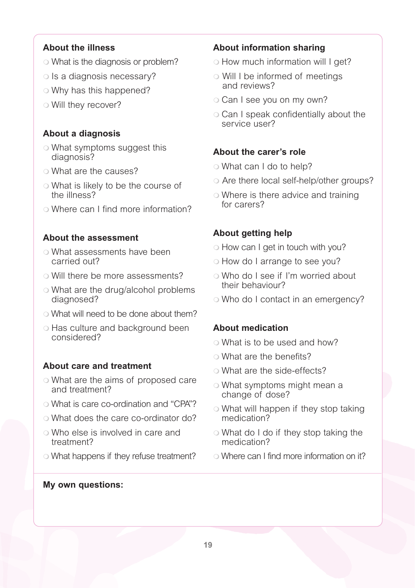#### **About the illness**

- o What is the diagnosis or problem?
- $\circ$  Is a diagnosis necessary?
- o Why has this happened?
- $\circ$  Will they recover?

#### **About a diagnosis**

- What symptoms suggest this diagnosis?
- o What are the causes?
- What is likely to be the course of the illness?
- Where can I find more information?

#### **About the assessment**

- What assessments have been carried out?
- o Will there be more assessments?
- o What are the drug/alcohol problems diagnosed?
- What will need to be done about them?
- Has culture and background been considered?

#### **About care and treatment**

- What are the aims of proposed care and treatment?
- What is care co-ordination and "CPA"?
- What does the care co-ordinator do?
- Who else is involved in care and treatment?
- What happens if they refuse treatment?

#### **About information sharing**

- How much information will I get?
- Will I be informed of meetings and reviews?
- o Can I see you on my own?
- Can I speak confidentially about the service user?

#### **About the carer's role**

- o What can I do to help?
- Are there local self-help/other groups?
- o Where is there advice and training for carers?

#### **About getting help**

- How can I get in touch with you?
- How do I arrange to see you?
- Who do I see if I'm worried about their behaviour?
- o Who do I contact in an emergency?

#### **About medication**

- What is to be used and how?
- What are the benefits?
- o What are the side-effects?
- What symptoms might mean a change of dose?
- What will happen if they stop taking medication?
- What do I do if they stop taking the medication?
- Where can I find more information on it?

#### **My own questions:**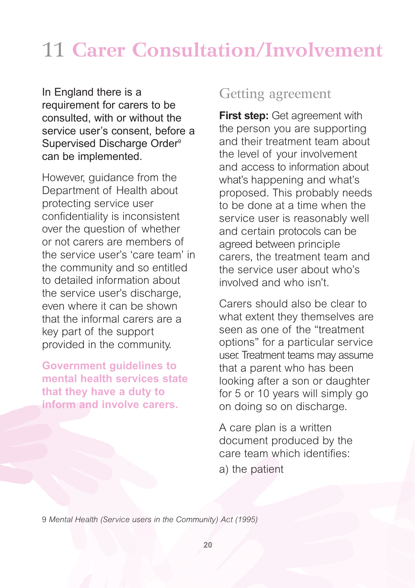# 11 **Carer Consultation/Involvement**

In England there is a requirement for carers to be consulted, with or without the service user's consent, before a Supervised Discharge Order<sup>9</sup> can be implemented.

However, guidance from the Department of Health about protecting service user confidentiality is inconsistent over the question of whether or not carers are members of the service user's 'care team' in the community and so entitled to detailed information about the service user's discharge, even where it can be shown that the informal carers are a key part of the support provided in the community.

**Government guidelines to mental health services state that they have a duty to inform and involve carers.**

# Getting agreement

**First step:** Get agreement with the person you are supporting and their treatment team about the level of your involvement and access to information about what's happening and what's proposed. This probably needs to be done at a time when the service user is reasonably well and certain protocols can be agreed between principle carers, the treatment team and the service user about who's involved and who isn't.

Carers should also be clear to what extent they themselves are seen as one of the "treatment options" for a particular service user. Treatment teams may assume that a parent who has been looking after a son or daughter for 5 or 10 years will simply go on doing so on discharge.

A care plan is a written document produced by the care team which identifies:

a) the patient

9 *Mental Health (Service users in the Community) Act (1995)*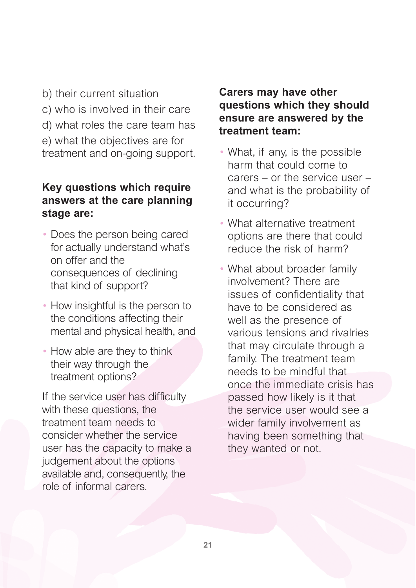- b) their current situation
- c) who is involved in their care
- d) what roles the care team has
- e) what the objectives are for treatment and on-going support.

### **Key questions which require answers at the care planning stage are:**

- Does the person being cared for actually understand what's on offer and the consequences of declining that kind of support?
- How insightful is the person to the conditions affecting their mental and physical health, and
- How able are they to think their way through the treatment options?

If the service user has difficulty with these questions, the treatment team needs to consider whether the service user has the capacity to make a judgement about the options available and, consequently, the role of informal carers.

### **Carers may have other questions which they should ensure are answered by the treatment team:**

- What, if any, is the possible harm that could come to carers – or the service user – and what is the probability of it occurring?
- What alternative treatment options are there that could reduce the risk of harm?
- What about broader family involvement? There are issues of confidentiality that have to be considered as well as the presence of various tensions and rivalries that may circulate through a family. The treatment team needs to be mindful that once the immediate crisis has passed how likely is it that the service user would see a wider family involvement as having been something that they wanted or not.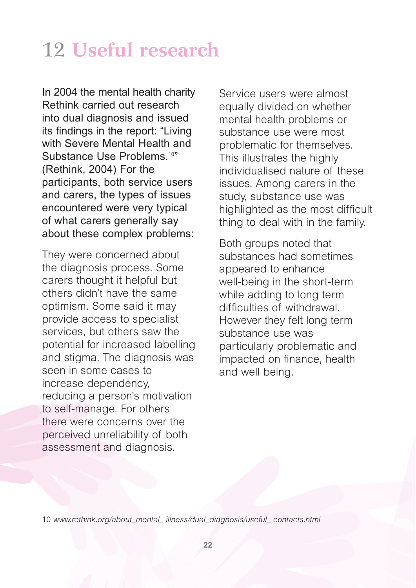# 12 **Useful research**

In 2004 the mental health charity Rethink carried out research into dual diagnosis and issued its findings in the report: "Living with Severe Mental Health and Substance Use Problems.<sup>10"</sup> (Rethink, 2004) For the participants, both service users and carers, the types of issues encountered were very typical of what carers generally say about these complex problems:

They were concerned about the diagnosis process. Some carers thought it helpful but others didn't have the same optimism. Some said it may provide access to specialist services, but others saw the potential for increased labelling and stigma. The diagnosis was seen in some cases to increase dependency, reducing a person's motivation to self-manage. For others there were concerns over the perceived unreliability of both assessment and diagnosis.

Service users were almost equally divided on whether mental health problems or substance use were most problematic for themselves. This illustrates the highly individualised nature of these issues. Among carers in the study, substance use was highlighted as the most difficult thing to deal with in the family.

Both groups noted that substances had sometimes appeared to enhance well-being in the short-term while adding to long term difficulties of withdrawal. However they felt long term substance use was particularly problematic and impacted on finance, health and well being.

10 *www.rethink.org/about\_mental\_ illness/dual\_diagnosis/useful\_ contacts.html*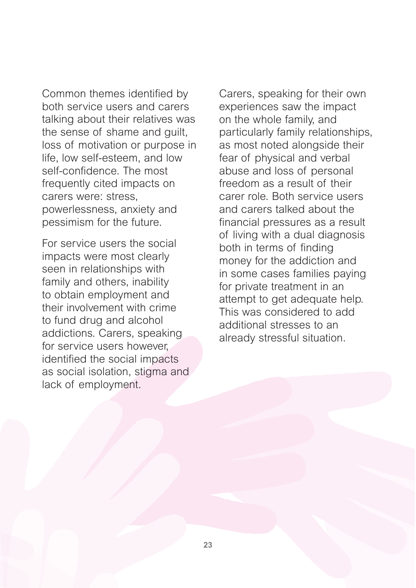Common themes identified by both service users and carers talking about their relatives was the sense of shame and guilt, loss of motivation or purpose in life, low self-esteem, and low self-confidence. The most frequently cited impacts on carers were: stress, powerlessness, anxiety and pessimism for the future.

For service users the social impacts were most clearly seen in relationships with family and others, inability to obtain employment and their involvement with crime to fund drug and alcohol addictions. Carers, speaking for service users however, identified the social impacts as social isolation, stigma and lack of employment.

Carers, speaking for their own experiences saw the impact on the whole family, and particularly family relationships, as most noted alongside their fear of physical and verbal abuse and loss of personal freedom as a result of their carer role. Both service users and carers talked about the financial pressures as a result of living with a dual diagnosis both in terms of finding money for the addiction and in some cases families paying for private treatment in an attempt to get adequate help. This was considered to add additional stresses to an already stressful situation.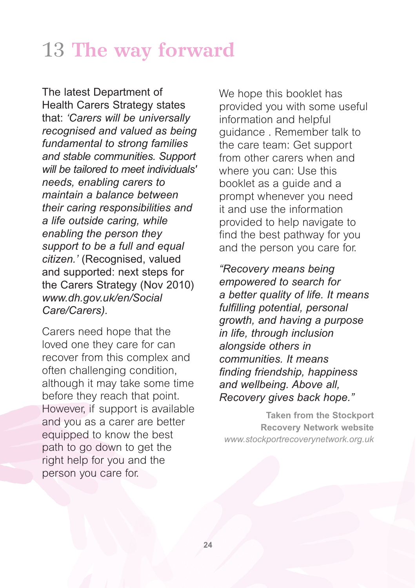# 13 **The way forward**

The latest Department of Health Carers Strategy states that: *'Carers will be universally recognised and valued as being fundamental to strong families and stable communities. Support will be tailored to meet individuals' needs, enabling carers to maintain a balance between their caring responsibilities and a life outside caring, while enabling the person they support to be a full and equal citizen.'* (Recognised, valued and supported: next steps for the Carers Strategy (Nov 2010) *www.dh.gov.uk/en/Social Care/Carers).* 

Carers need hope that the loved one they care for can recover from this complex and often challenging condition, although it may take some time before they reach that point. However, if support is available and you as a carer are better equipped to know the best path to go down to get the right help for you and the person you care for.

We hope this booklet has provided you with some useful information and helpful guidance . Remember talk to the care team: Get support from other carers when and where you can: Use this booklet as a guide and a prompt whenever you need it and use the information provided to help navigate to find the best pathway for you and the person you care for.

*"Recovery means being empowered to search for a better quality of life. It means fulfilling potential, personal growth, and having a purpose in life, through inclusion alongside others in communities. It means finding friendship, happiness and wellbeing. Above all, Recovery gives back hope."*

**Taken from the Stockport Recovery Network website** *www.stockportrecoverynetwork.org.uk*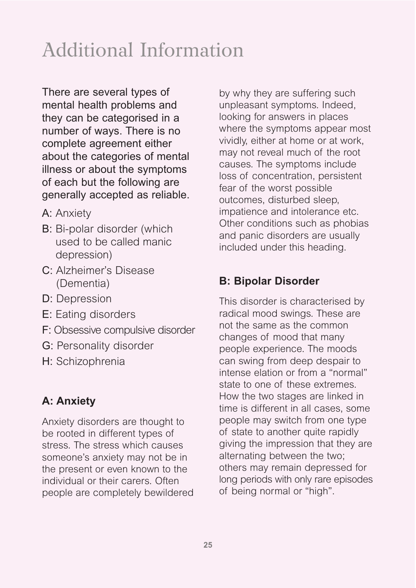# Additional Information

There are several types of mental health problems and they can be categorised in a number of ways. There is no complete agreement either about the categories of mental illness or about the symptoms of each but the following are generally accepted as reliable.

- A: Anxiety
- B: Bi-polar disorder (which used to be called manic depression)
- C: Alzheimer's Disease (Dementia)
- D: Depression
- E: Eating disorders
- F: Obsessive compulsive disorder
- G: Personality disorder
- H: Schizophrenia

# **A: Anxiety**

Anxiety disorders are thought to be rooted in different types of stress. The stress which causes someone's anxiety may not be in the present or even known to the individual or their carers. Often people are completely bewildered by why they are suffering such unpleasant symptoms. Indeed, looking for answers in places where the symptoms appear most vividly, either at home or at work, may not reveal much of the root causes. The symptoms include loss of concentration, persistent fear of the worst possible outcomes, disturbed sleep, impatience and intolerance etc. Other conditions such as phobias and panic disorders are usually included under this heading.

### **B: Bipolar Disorder**

This disorder is characterised by radical mood swings. These are not the same as the common changes of mood that many people experience. The moods can swing from deep despair to intense elation or from a "normal" state to one of these extremes. How the two stages are linked in time is different in all cases, some people may switch from one type of state to another quite rapidly giving the impression that they are alternating between the two; others may remain depressed for long periods with only rare episodes of being normal or "high".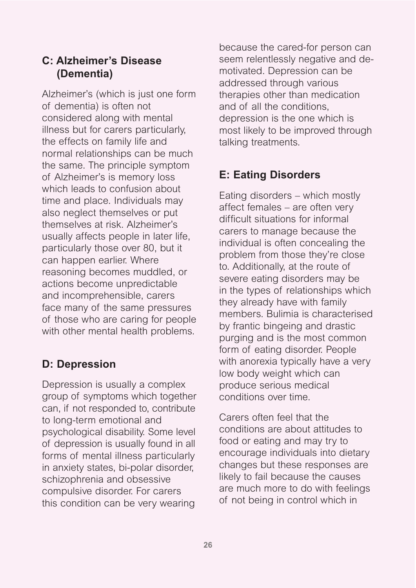## **C: Alzheimer's Disease (Dementia)**

Alzheimer's (which is just one form of dementia) is often not considered along with mental illness but for carers particularly, the effects on family life and normal relationships can be much the same. The principle symptom of Alzheimer's is memory loss which leads to confusion about time and place. Individuals may also neglect themselves or put themselves at risk. Alzheimer's usually affects people in later life, particularly those over 80, but it can happen earlier. Where reasoning becomes muddled, or actions become unpredictable and incomprehensible, carers face many of the same pressures of those who are caring for people with other mental health problems.

## **D: Depression**

Depression is usually a complex group of symptoms which together can, if not responded to, contribute to long-term emotional and psychological disability. Some level of depression is usually found in all forms of mental illness particularly in anxiety states, bi-polar disorder, schizophrenia and obsessive compulsive disorder. For carers this condition can be very wearing

because the cared-for person can seem relentlessly negative and demotivated. Depression can be addressed through various therapies other than medication and of all the conditions, depression is the one which is most likely to be improved through talking treatments.

# **E: Eating Disorders**

Eating disorders – which mostly affect females – are often very difficult situations for informal carers to manage because the individual is often concealing the problem from those they're close to. Additionally, at the route of severe eating disorders may be in the types of relationships which they already have with family members. Bulimia is characterised by frantic bingeing and drastic purging and is the most common form of eating disorder. People with anorexia typically have a very low body weight which can produce serious medical conditions over time.

Carers often feel that the conditions are about attitudes to food or eating and may try to encourage individuals into dietary changes but these responses are likely to fail because the causes are much more to do with feelings of not being in control which in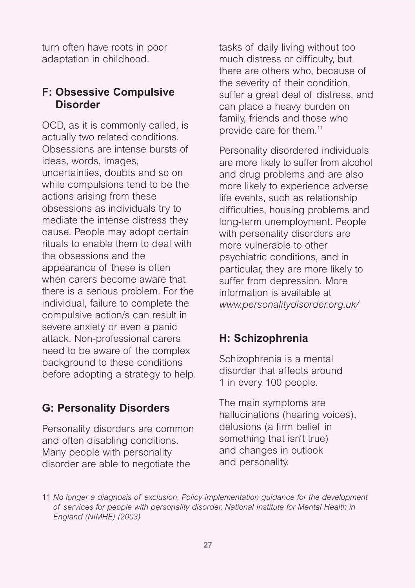turn often have roots in poor adaptation in childhood.

## **F: Obsessive Compulsive Disorder**

OCD, as it is commonly called, is actually two related conditions. Obsessions are intense bursts of ideas, words, images, uncertainties, doubts and so on while compulsions tend to be the actions arising from these obsessions as individuals try to mediate the intense distress they cause. People may adopt certain rituals to enable them to deal with the obsessions and the appearance of these is often when carers become aware that there is a serious problem. For the individual, failure to complete the compulsive action/s can result in severe anxiety or even a panic attack. Non-professional carers need to be aware of the complex background to these conditions before adopting a strategy to help.

## **G: Personality Disorders**

Personality disorders are common and often disabling conditions. Many people with personality disorder are able to negotiate the

tasks of daily living without too much distress or difficulty, but there are others who, because of the severity of their condition, suffer a great deal of distress, and can place a heavy burden on family, friends and those who provide care for them.11

Personality disordered individuals are more likely to suffer from alcohol and drug problems and are also more likely to experience adverse life events, such as relationship difficulties, housing problems and long-term unemployment. People with personality disorders are more vulnerable to other psychiatric conditions, and in particular, they are more likely to suffer from depression. More information is available at *www.personalitydisorder.org.uk/*

## **H: Schizophrenia**

Schizophrenia is a mental disorder that affects around 1 in every 100 people.

The main symptoms are hallucinations (hearing voices), delusions (a firm belief in something that isn't true) and changes in outlook and personality.

<sup>11</sup> *No longer a diagnosis of exclusion. Policy implementation guidance for the development of services for people with personality disorder, National Institute for Mental Health in England (NIMHE) (2003)*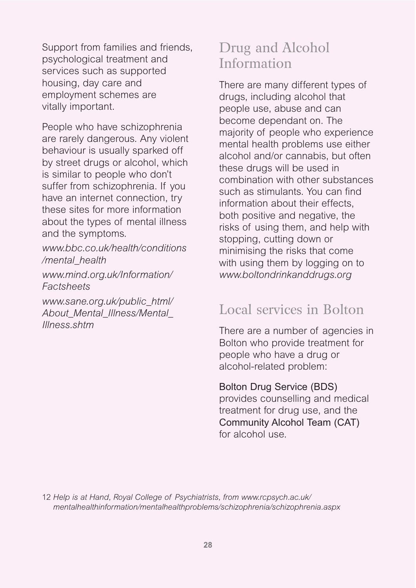Support from families and friends, psychological treatment and services such as supported housing, day care and employment schemes are vitally important.

People who have schizophrenia are rarely dangerous. Any violent behaviour is usually sparked off by street drugs or alcohol, which is similar to people who don't suffer from schizophrenia. If you have an internet connection, try these sites for more information about the types of mental illness and the symptoms.

*www.bbc.co.uk/health/conditions /mental\_health*

*www.mind.org.uk/Information/ Factsheets*

*www.sane.org.uk/public\_html/ About\_Mental\_Illness/Mental\_ Illness.shtm*

# Drug and Alcohol Information

There are many different types of drugs, including alcohol that people use, abuse and can become dependant on. The majority of people who experience mental health problems use either alcohol and/or cannabis, but often these drugs will be used in combination with other substances such as stimulants. You can find information about their effects, both positive and negative, the risks of using them, and help with stopping, cutting down or minimising the risks that come with using them by logging on to *www.boltondrinkanddrugs.org*

# Local services in Bolton

There are a number of agencies in Bolton who provide treatment for people who have a drug or alcohol-related problem:

#### Bolton Drug Service (BDS)

provides counselling and medical treatment for drug use, and the Community Alcohol Team (CAT) for alcohol use.

12 *Help is at Hand, Royal College of Psychiatrists, from www.rcpsych.ac.uk/ mentalhealthinformation/mentalhealthproblems/schizophrenia/schizophrenia.aspx*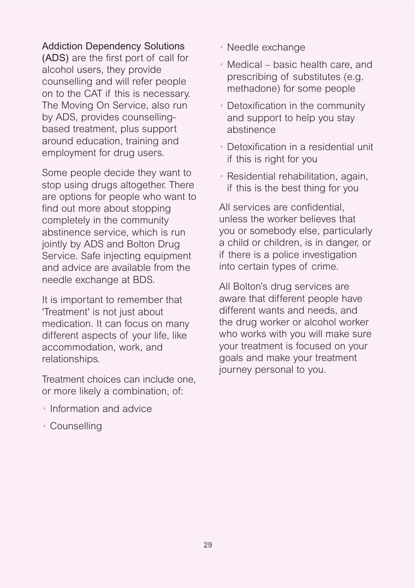#### Addiction Dependency Solutions

(ADS) are the first port of call for alcohol users, they provide counselling and will refer people on to the CAT if this is necessary. The Moving On Service, also run by ADS, provides counsellingbased treatment, plus support around education, training and employment for drug users.

Some people decide they want to stop using drugs altogether. There are options for people who want to find out more about stopping completely in the community abstinence service, which is run jointly by ADS and Bolton Drug Service. Safe injecting equipment and advice are available from the needle exchange at BDS.

It is important to remember that 'Treatment' is not just about medication. It can focus on many different aspects of your life, like accommodation, work, and relationships.

Treatment choices can include one, or more likely a combination, of:

- Information and advice
- Counselling
- Needle exchange
- Medical basic health care, and prescribing of substitutes (e.g. methadone) for some people
- Detoxification in the community and support to help you stay abstinence
- Detoxification in a residential unit if this is right for you
- Residential rehabilitation, again, if this is the best thing for you

All services are confidential, unless the worker believes that you or somebody else, particularly a child or children, is in danger, or if there is a police investigation into certain types of crime.

All Bolton's drug services are aware that different people have different wants and needs, and the drug worker or alcohol worker who works with you will make sure your treatment is focused on your goals and make your treatment journey personal to you.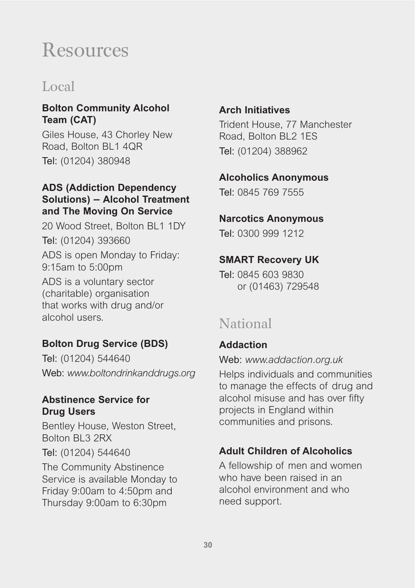# Resources

# Local

### **Bolton Community Alcohol Team (CAT)**

Giles House, 43 Chorley New Road, Bolton BL1 4QR Tel: (01204) 380948

### **ADS (Addiction Dependency Solutions) – Alcohol Treatment and The Moving On Service**

20 Wood Street, Bolton BL1 1DY Tel: (01204) 393660 ADS is open Monday to Friday: 9:15am to 5:00pm

ADS is a voluntary sector (charitable) organisation that works with drug and/or alcohol users.

### **Bolton Drug Service (BDS)**

Tel: (01204) 544640 Web: *www.boltondrinkanddrugs.org*

### **Abstinence Service for Drug Users**

Bentley House, Weston Street, Bolton BL3 2RX

Tel: (01204) 544640

The Community Abstinence Service is available Monday to Friday 9:00am to 4:50pm and Thursday 9:00am to 6:30pm

### **Arch Initiatives**

Trident House, 77 Manchester Road, Bolton BL2 1ES Tel: (01204) 388962

#### **Alcoholics Anonymous**

Tel: 0845 769 7555

#### **Narcotics Anonymous**

Tel: 0300 999 1212

#### **SMART Recovery UK**

Tel: 0845 603 9830 or (01463) 729548

# National

### **Addaction**

Web: *www.addaction.org.uk*

Helps individuals and communities to manage the effects of drug and alcohol misuse and has over fifty projects in England within communities and prisons.

## **Adult Children of Alcoholics**

A fellowship of men and women who have been raised in an alcohol environment and who need support.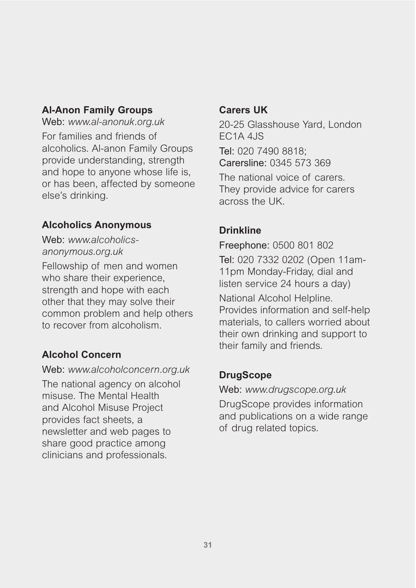### **Al-Anon Family Groups**

Web: *www.al-anonuk.org.uk* For families and friends of alcoholics. Al-anon Family Groups provide understanding, strength and hope to anyone whose life is, or has been, affected by someone else's drinking.

### **Alcoholics Anonymous**

Web: *www.alcoholicsanonymous.org.uk*

Fellowship of men and women who share their experience, strength and hope with each other that they may solve their common problem and help others to recover from alcoholism.

### **Alcohol Concern**

Web: *www.alcoholconcern.org.uk*

The national agency on alcohol misuse. The Mental Health and Alcohol Misuse Project provides fact sheets, a newsletter and web pages to share good practice among clinicians and professionals.

### **Carers UK**

20-25 Glasshouse Yard, London EC1A 4JS

Tel: 020 7490 8818; Carersline: 0345 573 369

The national voice of carers. They provide advice for carers across the UK.

## **Drinkline**

Freephone: 0500 801 802 Tel: 020 7332 0202 (Open 11am-11pm Monday-Friday, dial and listen service 24 hours a day)

National Alcohol Helpline. Provides information and self-help materials, to callers worried about their own drinking and support to their family and friends.

## **DrugScope**

Web: *www.drugscope.org.uk*

DrugScope provides information and publications on a wide range of drug related topics.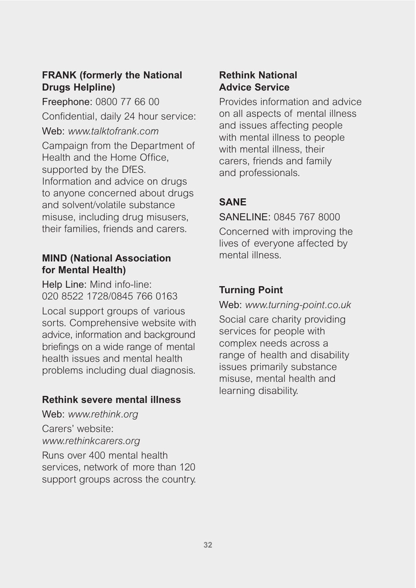### **FRANK (formerly the National Drugs Helpline)**

Freephone: 0800 77 66 00 Confidential, daily 24 hour service: Web: *www.talktofrank.com* Campaign from the Department of Health and the Home Office, supported by the DfES. Information and advice on drugs to anyone concerned about drugs and solvent/volatile substance misuse, including drug misusers, their families, friends and carers.

#### **MIND (National Association for Mental Health)**

Help Line: Mind info-line: 020 8522 1728/0845 766 0163

Local support groups of various sorts. Comprehensive website with advice, information and background briefings on a wide range of mental health issues and mental health problems including dual diagnosis.

#### **Rethink severe mental illness**

Web: *www.rethink.org* Carers' website: *www.rethinkcarers.org* Runs over 400 mental health services, network of more than 120 support groups across the country.

### **Rethink National Advice Service**

Provides information and advice on all aspects of mental illness and issues affecting people with mental illness to people with mental illness, their carers, friends and family and professionals.

### **SANE**

SANELINE: 0845 767 8000

Concerned with improving the lives of everyone affected by mental illness.

### **Turning Point**

Web: *www.turning-point.co.uk*

Social care charity providing services for people with complex needs across a range of health and disability issues primarily substance misuse, mental health and learning disability.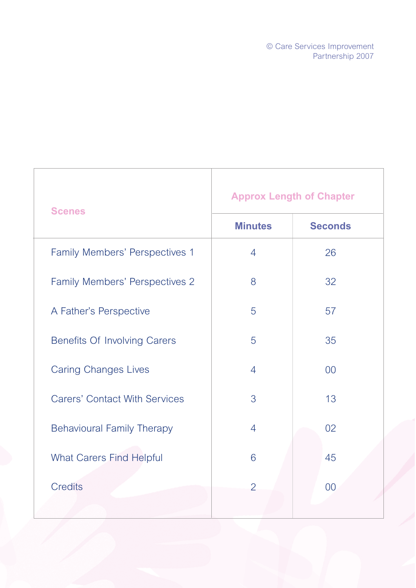© Care Services Improvement Partnership 2007

| <b>Scenes</b>                        | <b>Approx Length of Chapter</b> |                |  |
|--------------------------------------|---------------------------------|----------------|--|
|                                      | <b>Minutes</b>                  | <b>Seconds</b> |  |
| Family Members' Perspectives 1       | $\overline{4}$                  | 26             |  |
| Family Members' Perspectives 2       | 8                               | 32             |  |
| A Father's Perspective               | 5                               | 57             |  |
| <b>Benefits Of Involving Carers</b>  | 5                               | 35             |  |
| <b>Caring Changes Lives</b>          | $\overline{4}$                  | 0 <sup>0</sup> |  |
| <b>Carers' Contact With Services</b> | 3                               | 13             |  |
| <b>Behavioural Family Therapy</b>    | $\overline{4}$                  | 02             |  |
| <b>What Carers Find Helpful</b>      | 6                               | 45             |  |
| <b>Credits</b>                       | $\overline{2}$                  | 0 <sup>0</sup> |  |
|                                      |                                 |                |  |